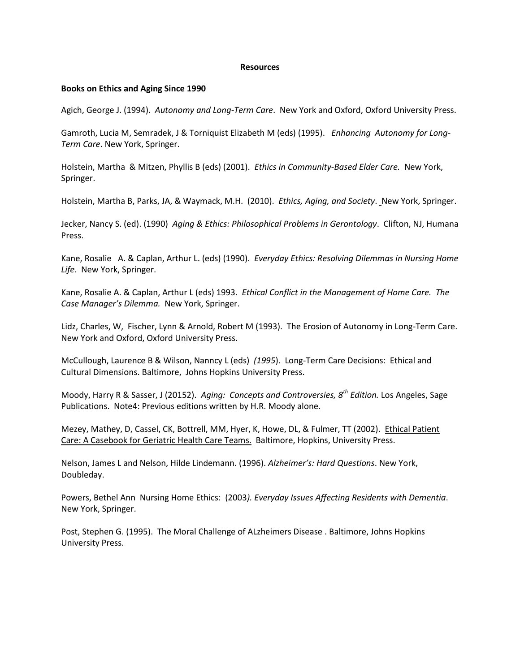## **Resources**

## **Books on Ethics and Aging Since 1990**

Agich, George J. (1994). *Autonomy and Long-Term Care*. New York and Oxford, Oxford University Press.

Gamroth, Lucia M, Semradek, J & Torniquist Elizabeth M (eds) (1995). *Enhancing Autonomy for Long-Term Care*. New York, Springer.

Holstein, Martha & Mitzen, Phyllis B (eds) (2001). *Ethics in Community-Based Elder Care.* New York, Springer.

Holstein, Martha B, Parks, JA, & Waymack, M.H. (2010). *Ethics, Aging, and Society*. New York, Springer.

Jecker, Nancy S. (ed). (1990) *Aging & Ethics: Philosophical Problems in Gerontology*. Clifton, NJ, Humana Press.

Kane, Rosalie A. & Caplan, Arthur L. (eds) (1990). *Everyday Ethics: Resolving Dilemmas in Nursing Home Life*. New York, Springer.

Kane, Rosalie A. & Caplan, Arthur L (eds) 1993. *Ethical Conflict in the Management of Home Care. The Case Manager's Dilemma.* New York, Springer.

Lidz, Charles, W, Fischer, Lynn & Arnold, Robert M (1993). The Erosion of Autonomy in Long-Term Care. New York and Oxford, Oxford University Press.

McCullough, Laurence B & Wilson, Nanncy L (eds) *(1995*). Long-Term Care Decisions: Ethical and Cultural Dimensions. Baltimore, Johns Hopkins University Press.

Moody, Harry R & Sasser, J (20152). *Aging: Concepts and Controversies, 8th Edition.* Los Angeles, Sage Publications. Note4: Previous editions written by H.R. Moody alone.

Mezey, Mathey, D, Cassel, CK, Bottrell, MM, Hyer, K, Howe, DL, & Fulmer, TT (2002). Ethical Patient Care: A Casebook for Geriatric Health Care Teams. Baltimore, Hopkins, University Press.

Nelson, James L and Nelson, Hilde Lindemann. (1996). *Alzheimer's: Hard Questions*. New York, Doubleday.

Powers, Bethel Ann Nursing Home Ethics: (2003*). Everyday Issues Affecting Residents with Dementia*. New York, Springer.

Post, Stephen G. (1995). The Moral Challenge of ALzheimers Disease . Baltimore, Johns Hopkins University Press.